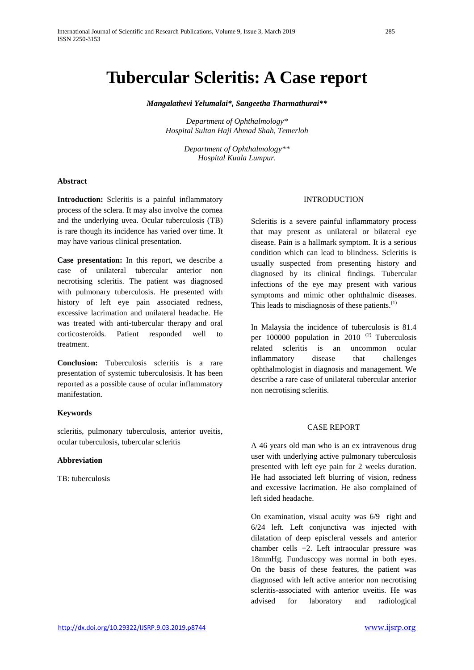*Mangalathevi Yelumalai\*, Sangeetha Tharmathurai\*\**

*Department of Ophthalmology\* Hospital Sultan Haji Ahmad Shah, Temerloh*

> *Department of Ophthalmology\*\* Hospital Kuala Lumpur.*

### **Abstract**

**Introduction:** Scleritis is a painful inflammatory process of the sclera. It may also involve the cornea and the underlying uvea. Ocular tuberculosis (TB) is rare though its incidence has varied over time. It may have various clinical presentation.

**Case presentation:** In this report, we describe a case of unilateral tubercular anterior non necrotising scleritis. The patient was diagnosed with pulmonary tuberculosis. He presented with history of left eye pain associated redness, excessive lacrimation and unilateral headache. He was treated with anti-tubercular therapy and oral corticosteroids. Patient responded well to treatment.

**Conclusion:** Tuberculosis scleritis is a rare presentation of systemic tuberculosisis. It has been reported as a possible cause of ocular inflammatory manifestation.

### **Keywords**

scleritis, pulmonary tuberculosis, anterior uveitis, ocular tuberculosis, tubercular scleritis

## **Abbreviation**

TB: tuberculosis

## **INTRODUCTION**

Scleritis is a severe painful inflammatory process that may present as unilateral or bilateral eye disease. Pain is a hallmark symptom. It is a serious condition which can lead to blindness. Scleritis is usually suspected from presenting history and diagnosed by its clinical findings. Tubercular infections of the eye may present with various symptoms and mimic other ophthalmic diseases. This leads to misdiagnosis of these patients.<sup>(1)</sup>

In Malaysia the incidence of tuberculosis is 81.4 per 100000 population in 2010 $(2)$  Tuberculosis related scleritis is an uncommon ocular inflammatory disease that challenges ophthalmologist in diagnosis and management. We describe a rare case of unilateral tubercular anterior non necrotising scleritis.

#### CASE REPORT

A 46 years old man who is an ex intravenous drug user with underlying active pulmonary tuberculosis presented with left eye pain for 2 weeks duration. He had associated left blurring of vision, redness and excessive lacrimation. He also complained of left sided headache.

On examination, visual acuity was 6/9 right and 6/24 left. Left conjunctiva was injected with dilatation of deep episcleral vessels and anterior chamber cells +2. Left intraocular pressure was 18mmHg. Funduscopy was normal in both eyes. On the basis of these features, the patient was diagnosed with left active anterior non necrotising scleritis-associated with anterior uveitis. He was advised for laboratory and radiological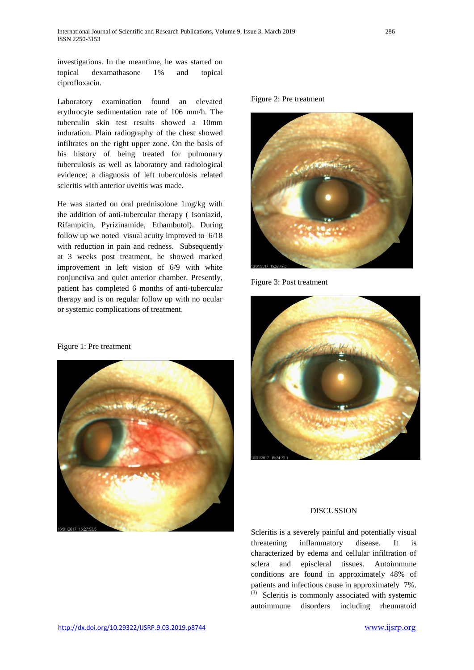investigations. In the meantime, he was started on topical dexamathasone 1% and topical ciprofloxacin.

Laboratory examination found an elevated erythrocyte sedimentation rate of 106 mm/h. The tuberculin skin test results showed a 10mm induration. Plain radiography of the chest showed infiltrates on the right upper zone. On the basis of his history of being treated for pulmonary tuberculosis as well as laboratory and radiological evidence; a diagnosis of left tuberculosis related scleritis with anterior uveitis was made.

He was started on oral prednisolone 1mg/kg with the addition of anti-tubercular therapy ( Isoniazid, Rifampicin, Pyrizinamide, Ethambutol). During follow up we noted visual acuity improved to 6/18 with reduction in pain and redness. Subsequently at 3 weeks post treatment, he showed marked improvement in left vision of 6/9 with white conjunctiva and quiet anterior chamber. Presently, patient has completed 6 months of anti-tubercular therapy and is on regular follow up with no ocular or systemic complications of treatment.

Figure 2: Pre treatment



Figure 3: Post treatment



# Figure 1: Pre treatment



# **DISCUSSION**

Scleritis is a severely painful and potentially visual threatening inflammatory disease. It is characterized by edema and cellular infiltration of sclera and episcleral tissues. Autoimmune conditions are found in approximately 48% of patients and infectious cause in approximately 7%. (3) Scleritis is commonly associated with systemic autoimmune disorders including rheumatoid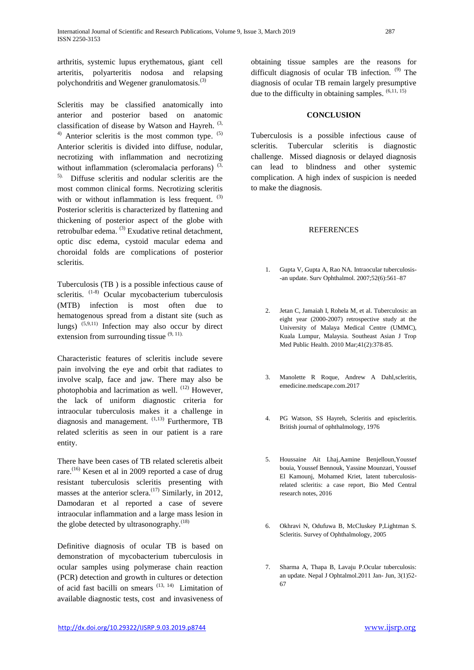arthritis, systemic lupus erythematous, giant cell arteritis, polyarteritis nodosa and relapsing polychondritis and Wegener granulomatosis.(3)

Scleritis may be classified anatomically into anterior and posterior based on anatomic classification of disease by Watson and Hayreh.  $(3, 3)$  $^{4)}$  Anterior scleritis is the most common type.  $^{(5)}$ Anterior scleritis is divided into diffuse, nodular, necrotizing with inflammation and necrotizing without inflammation (scleromalacia perforans)  $(3, 3)$ 5). Diffuse scleritis and nodular scleritis are the most common clinical forms. Necrotizing scleritis with or without inflammation is less frequent.  $(3)$ Posterior scleritis is characterized by flattening and thickening of posterior aspect of the globe with retrobulbar edema. <sup>(3)</sup> Exudative retinal detachment, optic disc edema, cystoid macular edema and

Tuberculosis (TB ) is a possible infectious cause of scleritis. <sup>(1-8)</sup> Ocular mycobacterium tuberculosis (MTB) infection is most often due to hematogenous spread from a distant site (such as lungs)  $(5,9,11)$  Infection may also occur by direct extension from surrounding tissue  $(9, 11)$ .

choroidal folds are complications of posterior

scleritis.

Characteristic features of scleritis include severe pain involving the eye and orbit that radiates to involve scalp, face and jaw. There may also be photophobia and lacrimation as well. <sup>(12)</sup> However. the lack of uniform diagnostic criteria for intraocular tuberculosis makes it a challenge in diagnosis and management.  $(1,13)$  Furthermore, TB related scleritis as seen in our patient is a rare entity.

There have been cases of TB related scleretis albeit rare.<sup>(16)</sup> Kesen et al in 2009 reported a case of drug resistant tuberculosis scleritis presenting with masses at the anterior sclera.<sup> $(17)$ </sup> Similarly, in 2012, Damodaran et al reported a case of severe intraocular inflammation and a large mass lesion in the globe detected by ultrasonography. $^{(18)}$ 

Definitive diagnosis of ocular TB is based on demonstration of mycobacterium tuberculosis in ocular samples using polymerase chain reaction (PCR) detection and growth in cultures or detection of acid fast bacilli on smears  $(13, 14)$  Limitation of available diagnostic tests, cost and invasiveness of

obtaining tissue samples are the reasons for difficult diagnosis of ocular TB infection.  $(9)$  The diagnosis of ocular TB remain largely presumptive due to the difficulty in obtaining samples.  $(6,11, 15)$ 

### **CONCLUSION**

Tuberculosis is a possible infectious cause of scleritis. Tubercular scleritis is diagnostic challenge. Missed diagnosis or delayed diagnosis can lead to blindness and other systemic complication. A high index of suspicion is needed to make the diagnosis.

### **REFERENCES**

- 1. Gupta V, Gupta A, Rao NA. Intraocular tuberculosis- -an update. Surv Ophthalmol. 2007;52(6):561–87
- 2. Jetan C, Jamaiah I, Rohela M, et al. Tuberculosis: an eight year (2000-2007) retrospective study at the University of Malaya Medical Centre (UMMC), Kuala Lumpur, Malaysia. Southeast Asian J Trop Med Public Health. 2010 Mar;41(2):378-85.
- 3. Manolette R Roque, Andrew A Dahl,scleritis, emedicine.medscape.com.2017
- 4. PG Watson, SS Hayreh, Scleritis and episcleritis. British journal of ophthalmology, 1976
- 5. Houssaine Ait Lhaj,Aamine Benjelloun,Youssef bouia, Youssef Bennouk, Yassine Mounzari, Youssef El Kamounj, Mohamed Kriet, latent tuberculosisrelated scleritis: a case report, Bio Med Central research notes, 2016
- 6. Okhravi N, Odufuwa B, McCluskey P,Lightman S. Scleritis. Survey of Ophthalmology, 2005
- 7. Sharma A, Thapa B, Lavaju P.Ocular tuberculosis: an update. Nepal J Ophtalmol.2011 Jan- Jun, 3(1)52- 67